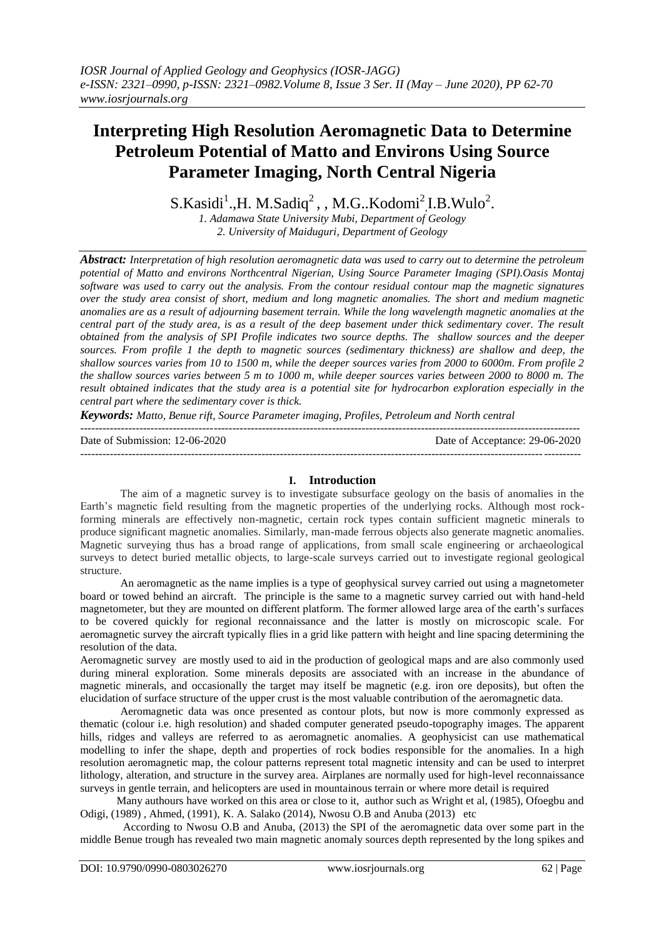# **Interpreting High Resolution Aeromagnetic Data to Determine Petroleum Potential of Matto and Environs Using Source Parameter Imaging, North Central Nigeria**

 $S.Kasidi<sup>1</sup>., H. M.Sadiq<sup>2</sup>$ , , M.G..Kodomi<sup>2</sup>, I.B. Wulo<sup>2</sup>.

*1. Adamawa State University Mubi, Department of Geology 2. University of Maiduguri, Department of Geology*

*Abstract: Interpretation of high resolution aeromagnetic data was used to carry out to determine the petroleum potential of Matto and environs Northcentral Nigerian, Using Source Parameter Imaging (SPI).Oasis Montaj software was used to carry out the analysis. From the contour residual contour map the magnetic signatures over the study area consist of short, medium and long magnetic anomalies. The short and medium magnetic anomalies are as a result of adjourning basement terrain. While the long wavelength magnetic anomalies at the central part of the study area, is as a result of the deep basement under thick sedimentary cover. The result obtained from the analysis of SPI Profile indicates two source depths. The shallow sources and the deeper sources. From profile 1 the depth to magnetic sources (sedimentary thickness) are shallow and deep, the shallow sources varies from 10 to 1500 m, while the deeper sources varies from 2000 to 6000m. From profile 2 the shallow sources varies between 5 m to 1000 m, while deeper sources varies between 2000 to 8000 m. The result obtained indicates that the study area is a potential site for hydrocarbon exploration especially in the central part where the sedimentary cover is thick.* 

*Keywords: Matto, Benue rift, Source Parameter imaging, Profiles, Petroleum and North central*

Date of Submission: 12-06-2020 Date of Acceptance: 29-06-2020

---------------------------------------------------------------------------------------------------------------------------------------

# **I. Introduction**

---------------------------------------------------------------------------------------------------------------------------------------

The aim of a magnetic survey is to investigate subsurface geology on the basis of anomalies in the Earth's magnetic field resulting from the magnetic properties of the underlying rocks. Although most rockforming minerals are effectively non-magnetic, certain rock types contain sufficient magnetic minerals to produce significant magnetic anomalies. Similarly, man-made ferrous objects also generate magnetic anomalies. Magnetic surveying thus has a broad range of applications, from small scale engineering or archaeological surveys to detect buried metallic objects, to large-scale surveys carried out to investigate regional geological structure.

An aeromagnetic as the name implies is a type of geophysical survey carried out using a magnetometer board or towed behind an aircraft. The principle is the same to a magnetic survey carried out with hand-held magnetometer, but they are mounted on different platform. The former allowed large area of the earth's surfaces to be covered quickly for regional reconnaissance and the latter is mostly on microscopic scale. For aeromagnetic survey the aircraft typically flies in a grid like pattern with height and line spacing determining the resolution of the data.

Aeromagnetic survey are mostly used to aid in the production of geological maps and are also commonly used during mineral exploration. Some minerals deposits are associated with an increase in the abundance of magnetic minerals, and occasionally the target may itself be magnetic (e.g. iron ore deposits), but often the elucidation of surface structure of the upper crust is the most valuable contribution of the aeromagnetic data.

Aeromagnetic data was once presented as contour plots, but now is more commonly expressed as thematic (colour i.e. high resolution) and shaded computer generated pseudo-topography images. The apparent hills, ridges and valleys are referred to as aeromagnetic anomalies. A geophysicist can use mathematical modelling to infer the shape, depth and properties of rock bodies responsible for the anomalies. In a high resolution aeromagnetic map, the colour patterns represent total magnetic intensity and can be used to interpret lithology, alteration, and structure in the survey area. Airplanes are normally used for high-level reconnaissance surveys in gentle terrain, and helicopters are used in mountainous terrain or where more detail is required

 Many authours have worked on this area or close to it, author such as Wright et al, (1985), Ofoegbu and Odigi, (1989) , Ahmed, (1991), K. A. Salako (2014), Nwosu O.B and Anuba (2013) etc

According to Nwosu O.B and Anuba, (2013) the SPI of the aeromagnetic data over some part in the middle Benue trough has revealed two main magnetic anomaly sources depth represented by the long spikes and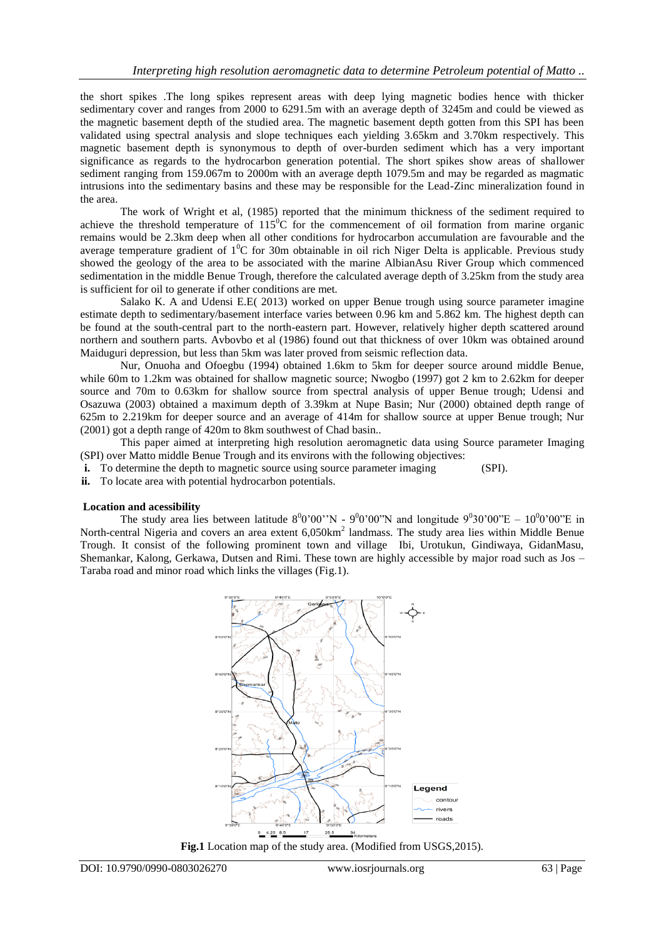the short spikes .The long spikes represent areas with deep lying magnetic bodies hence with thicker sedimentary cover and ranges from 2000 to 6291.5m with an average depth of 3245m and could be viewed as the magnetic basement depth of the studied area. The magnetic basement depth gotten from this SPI has been validated using spectral analysis and slope techniques each yielding 3.65km and 3.70km respectively. This magnetic basement depth is synonymous to depth of over-burden sediment which has a very important significance as regards to the hydrocarbon generation potential. The short spikes show areas of shallower sediment ranging from 159.067m to 2000m with an average depth 1079.5m and may be regarded as magmatic intrusions into the sedimentary basins and these may be responsible for the Lead-Zinc mineralization found in the area.

The work of Wright et al, (1985) reported that the minimum thickness of the sediment required to achieve the threshold temperature of  $115^{\circ}$ C for the commencement of oil formation from marine organic remains would be 2.3km deep when all other conditions for hydrocarbon accumulation are favourable and the average temperature gradient of  $1^{0}C$  for 30m obtainable in oil rich Niger Delta is applicable. Previous study showed the geology of the area to be associated with the marine AlbianAsu River Group which commenced sedimentation in the middle Benue Trough, therefore the calculated average depth of 3.25km from the study area is sufficient for oil to generate if other conditions are met.

Salako K. A and Udensi E.E( 2013) worked on upper Benue trough using source parameter imagine estimate depth to sedimentary/basement interface varies between 0.96 km and 5.862 km. The highest depth can be found at the south-central part to the north-eastern part. However, relatively higher depth scattered around northern and southern parts. Avbovbo et al (1986) found out that thickness of over 10km was obtained around Maiduguri depression, but less than 5km was later proved from seismic reflection data.

Nur, Onuoha and Ofoegbu (1994) obtained 1.6km to 5km for deeper source around middle Benue, while 60m to 1.2km was obtained for shallow magnetic source; Nwogbo (1997) got 2 km to 2.62km for deeper source and 70m to 0.63km for shallow source from spectral analysis of upper Benue trough; Udensi and Osazuwa (2003) obtained a maximum depth of 3.39km at Nupe Basin; Nur (2000) obtained depth range of 625m to 2.219km for deeper source and an average of 414m for shallow source at upper Benue trough; Nur (2001) got a depth range of 420m to 8km southwest of Chad basin..

This paper aimed at interpreting high resolution aeromagnetic data using Source parameter Imaging (SPI) over Matto middle Benue Trough and its environs with the following objectives:

**i.** To determine the depth to magnetic source using source parameter imaging (SPI).

**ii.** To locate area with potential hydrocarbon potentials.

#### **Location and acessibility**

The study area lies between latitude  $8^00'00''N - 9^00'00''N$  and longitude  $9^030'00''E - 10^00'00''E$  in North-central Nigeria and covers an area extent 6,050km<sup>2</sup> landmass. The study area lies within Middle Benue Trough. It consist of the following prominent town and village Ibi, Urotukun, Gindiwaya, GidanMasu, Shemankar, Kalong, Gerkawa, Dutsen and Rimi. These town are highly accessible by major road such as Jos – Taraba road and minor road which links the villages (Fig.1).



**Fig.1** Location map of the study area. (Modified from USGS,2015).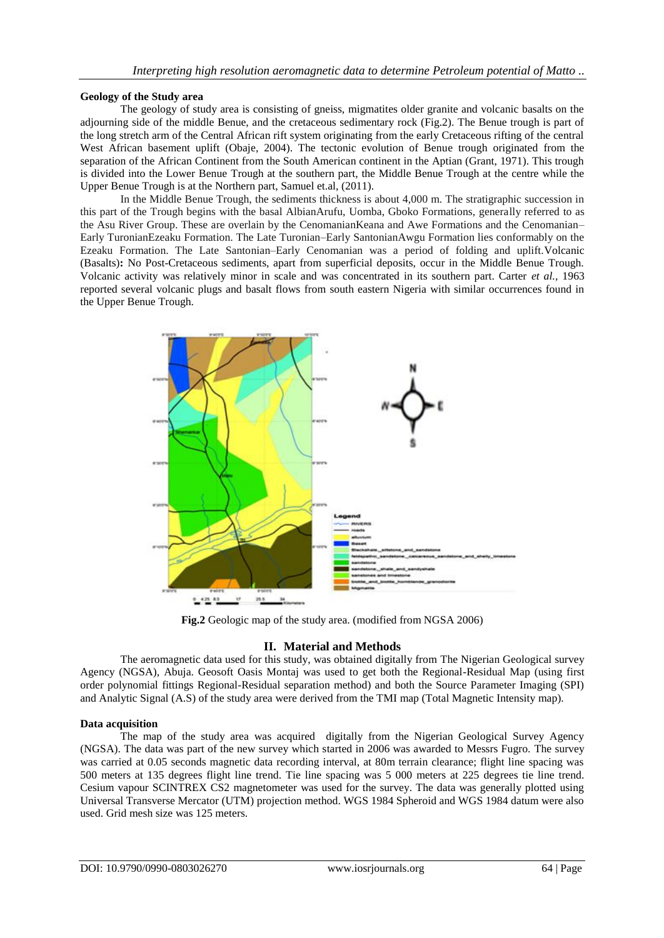## **Geology of the Study area**

The geology of study area is consisting of gneiss, migmatites older granite and volcanic basalts on the adjourning side of the middle Benue, and the cretaceous sedimentary rock (Fig.2). The Benue trough is part of the long stretch arm of the Central African rift system originating from the early Cretaceous rifting of the central West African basement uplift (Obaje, 2004). The tectonic evolution of Benue trough originated from the separation of the African Continent from the South American continent in the Aptian (Grant, 1971). This trough is divided into the Lower Benue Trough at the southern part, the Middle Benue Trough at the centre while the Upper Benue Trough is at the Northern part, Samuel et.al, (2011).

In the Middle Benue Trough, the sediments thickness is about 4,000 m. The stratigraphic succession in this part of the Trough begins with the basal AlbianArufu, Uomba, Gboko Formations, generally referred to as the Asu River Group. These are overlain by the CenomanianKeana and Awe Formations and the Cenomanian– Early TuronianEzeaku Formation. The Late Turonian–Early SantonianAwgu Formation lies conformably on the Ezeaku Formation. The Late Santonian–Early Cenomanian was a period of folding and uplift.Volcanic (Basalts)**:** No Post-Cretaceous sediments, apart from superficial deposits, occur in the Middle Benue Trough. Volcanic activity was relatively minor in scale and was concentrated in its southern part. Carter *et al.,* 1963 reported several volcanic plugs and basalt flows from south eastern Nigeria with similar occurrences found in the Upper Benue Trough.



**Fig.2** Geologic map of the study area. (modified from NGSA 2006)

# **II. Material and Methods**

The aeromagnetic data used for this study, was obtained digitally from The Nigerian Geological survey Agency (NGSA), Abuja. Geosoft Oasis Montaj was used to get both the Regional-Residual Map (using first order polynomial fittings Regional-Residual separation method) and both the Source Parameter Imaging (SPI) and Analytic Signal (A.S) of the study area were derived from the TMI map (Total Magnetic Intensity map).

# **Data acquisition**

The map of the study area was acquired digitally from the Nigerian Geological Survey Agency (NGSA). The data was part of the new survey which started in 2006 was awarded to Messrs Fugro. The survey was carried at 0.05 seconds magnetic data recording interval, at 80m terrain clearance; flight line spacing was 500 meters at 135 degrees flight line trend. Tie line spacing was 5 000 meters at 225 degrees tie line trend. Cesium vapour SCINTREX CS2 magnetometer was used for the survey. The data was generally plotted using Universal Transverse Mercator (UTM) projection method. WGS 1984 Spheroid and WGS 1984 datum were also used. Grid mesh size was 125 meters.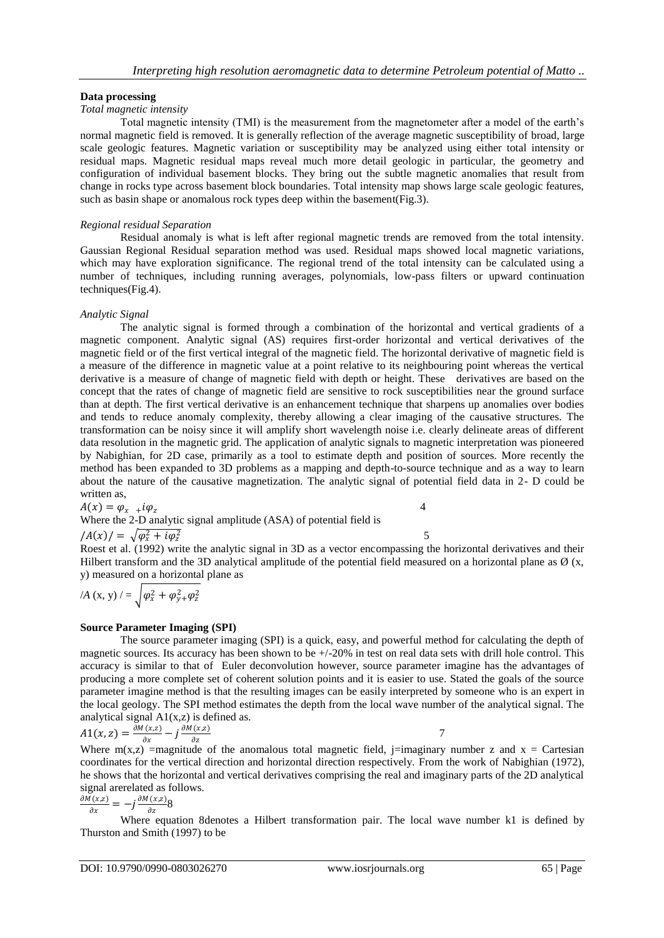## **Data processing**

## *Total magnetic intensity*

Total magnetic intensity (TMI) is the measurement from the magnetometer after a model of the earth's normal magnetic field is removed. It is generally reflection of the average magnetic susceptibility of broad, large scale geologic features. Magnetic variation or susceptibility may be analyzed using either total intensity or residual maps. Magnetic residual maps reveal much more detail geologic in particular, the geometry and configuration of individual basement blocks. They bring out the subtle magnetic anomalies that result from change in rocks type across basement block boundaries. Total intensity map shows large scale geologic features, such as basin shape or anomalous rock types deep within the basement(Fig.3).

#### *Regional residual Separation*

Residual anomaly is what is left after regional magnetic trends are removed from the total intensity. Gaussian Regional Residual separation method was used. Residual maps showed local magnetic variations, which may have exploration significance. The regional trend of the total intensity can be calculated using a number of techniques, including running averages, polynomials, low-pass filters or upward continuation techniques(Fig.4).

## *Analytic Signal*

The analytic signal is formed through a combination of the horizontal and vertical gradients of a magnetic component. Analytic signal (AS) requires first-order horizontal and vertical derivatives of the magnetic field or of the first vertical integral of the magnetic field. The horizontal derivative of magnetic field is a measure of the difference in magnetic value at a point relative to its neighbouring point whereas the vertical derivative is a measure of change of magnetic field with depth or height. These derivatives are based on the concept that the rates of change of magnetic field are sensitive to rock susceptibilities near the ground surface than at depth. The first vertical derivative is an enhancement technique that sharpens up anomalies over bodies and tends to reduce anomaly complexity, thereby allowing a clear imaging of the causative structures. The transformation can be noisy since it will amplify short wavelength noise i.e. clearly delineate areas of different data resolution in the magnetic grid. The application of analytic signals to magnetic interpretation was pioneered by Nabighian, for 2D case, primarily as a tool to estimate depth and position of sources. More recently the method has been expanded to 3D problems as a mapping and depth-to-source technique and as a way to learn about the nature of the causative magnetization. The analytic signal of potential field data in 2- D could be written as,

$$
A(x) = \varphi_{x} \, u + i \varphi_{z}
$$

 4 Where the 2-D analytic signal amplitude (ASA) of potential field is  $/A(x)/ = \sqrt{\varphi_x^2 + i \varphi_z^2}$  $5<sup>5</sup>$ 

Roest et al. (1992) write the analytic signal in 3D as a vector encompassing the horizontal derivatives and their Hilbert transform and the 3D analytical amplitude of the potential field measured on a horizontal plane as  $\emptyset$  (x, y) measured on a horizontal plane as

$$
/A(x, y) / = \sqrt{\varphi_x^2 + \varphi_y^2 + \varphi_z^2}
$$

#### **Source Parameter Imaging (SPI)**

The source parameter imaging (SPI) is a quick, easy, and powerful method for calculating the depth of magnetic sources. Its accuracy has been shown to be +/-20% in test on real data sets with drill hole control. This accuracy is similar to that of Euler deconvolution however, source parameter imagine has the advantages of producing a more complete set of coherent solution points and it is easier to use. Stated the goals of the source parameter imagine method is that the resulting images can be easily interpreted by someone who is an expert in the local geology. The SPI method estimates the depth from the local wave number of the analytical signal. The analytical signal  $A1(x,z)$  is defined as.

$$
A1(x, z) = \frac{\partial M(x, z)}{\partial x} - j \frac{\partial M(x, z)}{\partial z}
$$

Where m(x,z) =magnitude of the anomalous total magnetic field, j=imaginary number z and x = Cartesian coordinates for the vertical direction and horizontal direction respectively. From the work of Nabighian (1972), he shows that the horizontal and vertical derivatives comprising the real and imaginary parts of the 2D analytical signal arerelated as follows.

$$
\frac{\partial M(x,z)}{\partial x} = -j \frac{\partial M(x,z)}{\partial z} 8
$$

Where equation 8denotes a Hilbert transformation pair. The local wave number k1 is defined by Thurston and Smith (1997) to be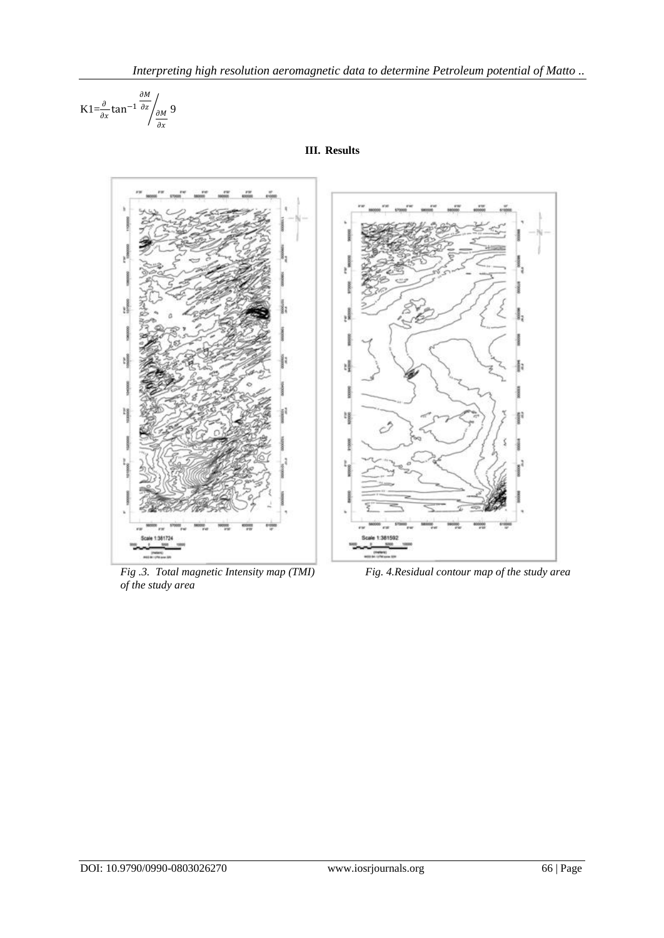$$
K1 = \frac{\partial}{\partial x} \tan^{-1} \frac{\partial M}{\partial z} / \frac{\partial M}{\partial x} 9
$$



**III. Results**

*of the study area* 

*Fig .3. Total magnetic Intensity map (TMI) Fig. 4.Residual contour map of the study area*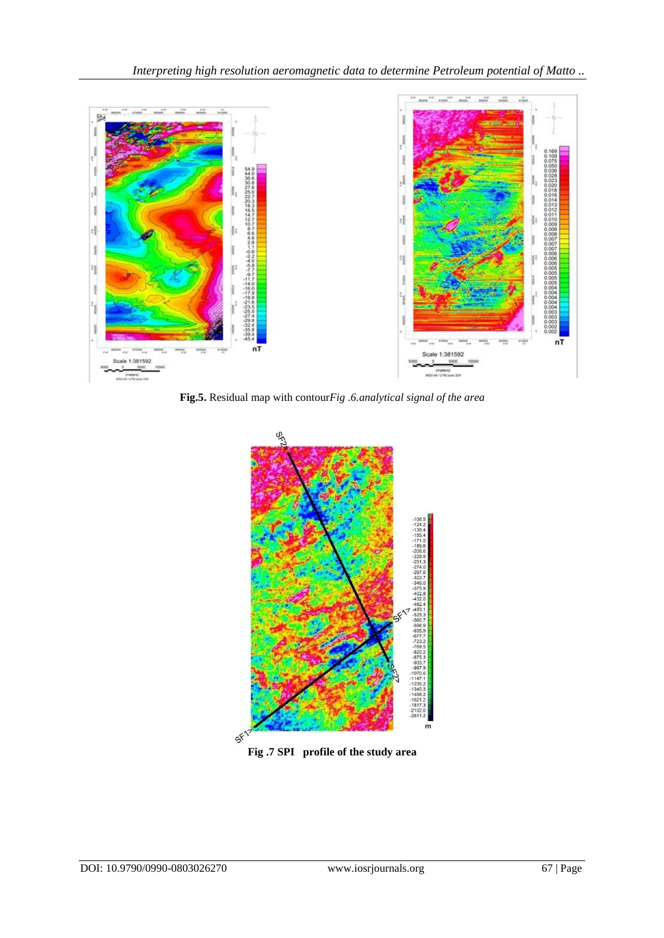

**Fig.5.** Residual map with contour*Fig .6.analytical signal of the area*



**Fig .7 SPI profile of the study area**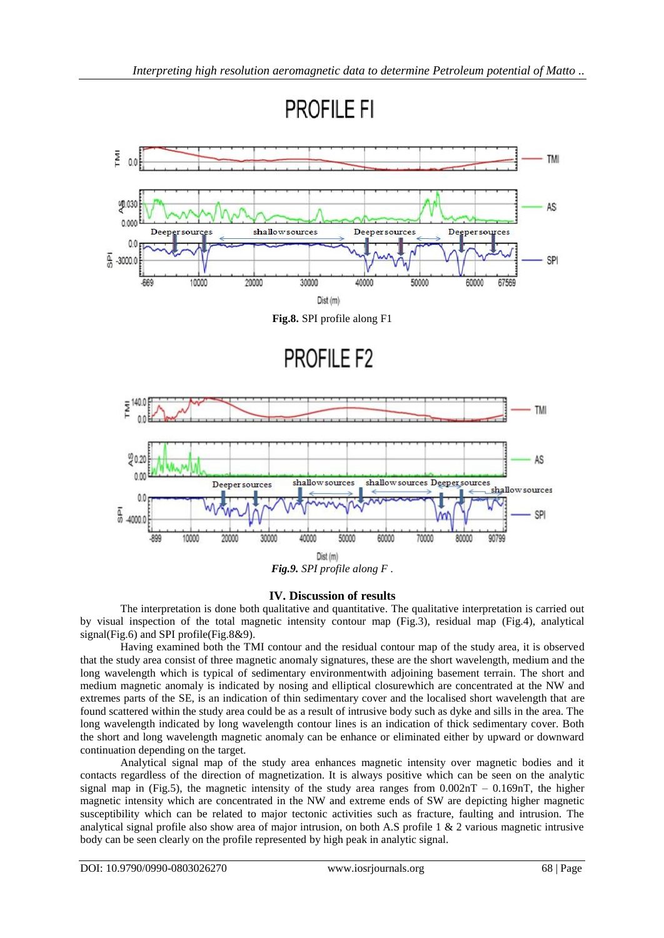**PROFILE FI** 



**Fig.8.** SPI profile along F1

**PROFILE F2** 



*Fig.9. SPI profile along F .*

# **IV. Discussion of results**

The interpretation is done both qualitative and quantitative. The qualitative interpretation is carried out by visual inspection of the total magnetic intensity contour map (Fig.3), residual map (Fig.4), analytical signal(Fig.6) and SPI profile(Fig.8&9).

Having examined both the TMI contour and the residual contour map of the study area, it is observed that the study area consist of three magnetic anomaly signatures, these are the short wavelength, medium and the long wavelength which is typical of sedimentary environmentwith adjoining basement terrain. The short and medium magnetic anomaly is indicated by nosing and elliptical closurewhich are concentrated at the NW and extremes parts of the SE, is an indication of thin sedimentary cover and the localised short wavelength that are found scattered within the study area could be as a result of intrusive body such as dyke and sills in the area. The long wavelength indicated by long wavelength contour lines is an indication of thick sedimentary cover. Both the short and long wavelength magnetic anomaly can be enhance or eliminated either by upward or downward continuation depending on the target.

Analytical signal map of the study area enhances magnetic intensity over magnetic bodies and it contacts regardless of the direction of magnetization. It is always positive which can be seen on the analytic signal map in (Fig.5), the magnetic intensity of the study area ranges from  $0.002nT - 0.169nT$ , the higher magnetic intensity which are concentrated in the NW and extreme ends of SW are depicting higher magnetic susceptibility which can be related to major tectonic activities such as fracture, faulting and intrusion. The analytical signal profile also show area of major intrusion, on both A.S profile  $1 \& 2$  various magnetic intrusive body can be seen clearly on the profile represented by high peak in analytic signal.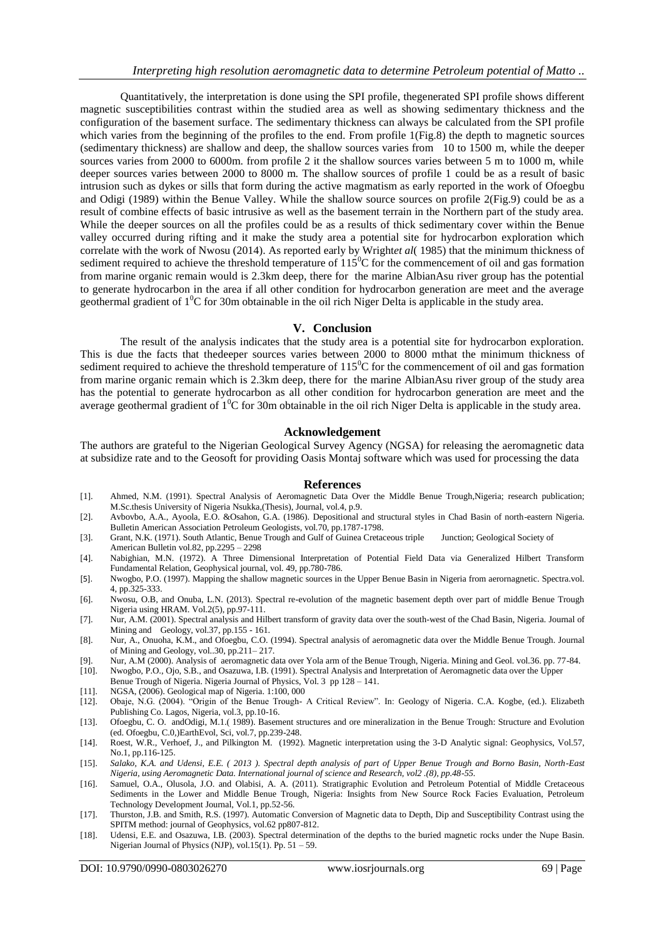Quantitatively, the interpretation is done using the SPI profile, thegenerated SPI profile shows different magnetic susceptibilities contrast within the studied area as well as showing sedimentary thickness and the configuration of the basement surface. The sedimentary thickness can always be calculated from the SPI profile which varies from the beginning of the profiles to the end. From profile 1(Fig.8) the depth to magnetic sources (sedimentary thickness) are shallow and deep, the shallow sources varies from 10 to 1500 m, while the deeper sources varies from 2000 to 6000m. from profile 2 it the shallow sources varies between 5 m to 1000 m, while deeper sources varies between 2000 to 8000 m. The shallow sources of profile 1 could be as a result of basic intrusion such as dykes or sills that form during the active magmatism as early reported in the work of Ofoegbu and Odigi (1989) within the Benue Valley. While the shallow source sources on profile 2(Fig.9) could be as a result of combine effects of basic intrusive as well as the basement terrain in the Northern part of the study area. While the deeper sources on all the profiles could be as a results of thick sedimentary cover within the Benue valley occurred during rifting and it make the study area a potential site for hydrocarbon exploration which correlate with the work of Nwosu (2014). As reported early by Wright*et al*( 1985) that the minimum thickness of sediment required to achieve the threshold temperature of  $115^{\circ}$ C for the commencement of oil and gas formation from marine organic remain would is 2.3km deep, there for the marine AlbianAsu river group has the potential to generate hydrocarbon in the area if all other condition for hydrocarbon generation are meet and the average geothermal gradient of  $1^{0}C$  for 30m obtainable in the oil rich Niger Delta is applicable in the study area.

#### **V. Conclusion**

The result of the analysis indicates that the study area is a potential site for hydrocarbon exploration. This is due the facts that thedeeper sources varies between 2000 to 8000 mthat the minimum thickness of sediment required to achieve the threshold temperature of  $115<sup>o</sup>C$  for the commencement of oil and gas formation from marine organic remain which is 2.3km deep, there for the marine AlbianAsu river group of the study area has the potential to generate hydrocarbon as all other condition for hydrocarbon generation are meet and the average geothermal gradient of  $1^0C$  for 30m obtainable in the oil rich Niger Delta is applicable in the study area.

#### **Acknowledgement**

The authors are grateful to the Nigerian Geological Survey Agency (NGSA) for releasing the aeromagnetic data at subsidize rate and to the Geosoft for providing Oasis Montaj software which was used for processing the data

#### **References**

- [1]. Ahmed, N.M. (1991). Spectral Analysis of Aeromagnetic Data Over the Middle Benue Trough,Nigeria; research publication; M.Sc.thesis University of Nigeria Nsukka,(Thesis), Journal, vol.4, p.9.
- [2]. Avbovbo, A.A., Ayoola, E.O. &Osahon, G.A. (1986). Depositional and structural styles in Chad Basin of north-eastern Nigeria. Bulletin American Association Petroleum Geologists, vol.70, pp.1787-1798.
- [3]. Grant, N.K. (1971). South Atlantic, Benue Trough and Gulf of Guinea Cretaceous triple Junction; Geological Society of American Bulletin vol.82, pp.2295 – 2298
- [4]. Nabighian, M.N. (1972). A Three Dimensional Interpretation of Potential Field Data via Generalized Hilbert Transform Fundamental Relation, Geophysical journal, vol. 49, pp.780-786.
- [5]. Nwogbo, P.O. (1997). Mapping the shallow magnetic sources in the Upper Benue Basin in Nigeria from aerornagnetic. Spectra.vol. 4, pp.325-333.
- [6]. Nwosu, O.B, and Onuba, L.N. (2013). Spectral re-evolution of the magnetic basement depth over part of middle Benue Trough Nigeria using HRAM. Vol.2(5), pp.97-111.
- [7]. Nur, A.M. (2001). Spectral analysis and Hilbert transform of gravity data over the south-west of the Chad Basin, Nigeria. Journal of Mining and Geology, vol.37, pp.155 - 161.
- [8]. Nur, A., Onuoha, K.M., and Ofoegbu, C.O. (1994). Spectral analysis of aeromagnetic data over the Middle Benue Trough. Journal of Mining and Geology, vol..30, pp.211– 217.
- [9]. Nur, A.M (2000). Analysis of aeromagnetic data over Yola arm of the Benue Trough, Nigeria. Mining and Geol. vol.36. pp. 77-84. [10]. Nwogbo, P.O., Ojo, S.B., and Osazuwa, I.B. (1991). Spectral Analysis and Interpretation of Aeromagnetic data over the Upper
- Benue Trough of Nigeria. Nigeria Journal of Physics, Vol. 3 pp 128 141.
- [11]. NGSA, (2006). Geological map of Nigeria. 1:100, 000
- [12]. Obaje, N.G. (2004). "Origin of the Benue Trough- A Critical Review". In: Geology of Nigeria. C.A. Kogbe, (ed.). Elizabeth Publishing Co. Lagos, Nigeria, vol.3, pp.10-16.
- [13]. Ofoegbu, C. O. andOdigi, M.1.( 1989). Basement structures and ore mineralization in the Benue Trough: Structure and Evolution (ed. Ofoegbu, C.0,)EarthEvol, Sci, vol.7, pp.239-248.
- [14]. Roest, W.R., Verhoef, J., and Pilkington M. (1992). Magnetic interpretation using the 3-D Analytic signal: Geophysics, Vol.57, No.1, pp.116-125.
- [15]. *Salako, K.A. and Udensi, E.E. ( 2013 ). Spectral depth analysis of part of Upper Benue Trough and Borno Basin, North-East Nigeria, using Aeromagnetic Data. International journal of science and Research, vol2 .(8), pp.48-55.*
- [16]. Samuel, O.A., Olusola, J.O. and Olabisi, A. A. (2011). Stratigraphic Evolution and Petroleum Potential of Middle Cretaceous Sediments in the Lower and Middle Benue Trough, Nigeria: Insights from New Source Rock Facies Evaluation, Petroleum Technology Development Journal, Vol.1, pp.52-56.
- [17]. Thurston, J.B. and Smith, R.S. (1997). Automatic Conversion of Magnetic data to Depth, Dip and Susceptibility Contrast using the SPITM method: journal of Geophysics, vol.62 pp807-812.
- [18]. Udensi, E.E. and Osazuwa, I.B. (2003). Spectral determination of the depths to the buried magnetic rocks under the Nupe Basin. Nigerian Journal of Physics (NJP), vol.15(1). Pp. 51 – 59.